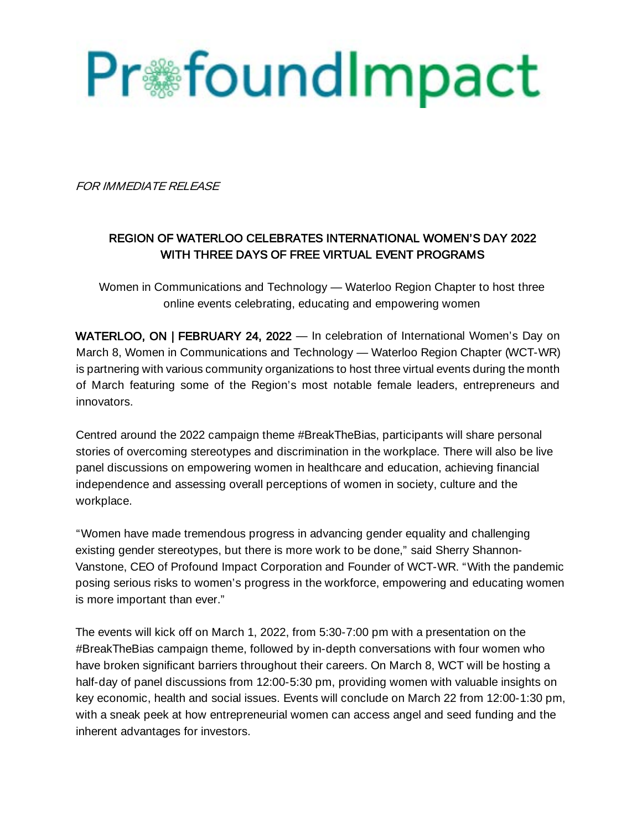

FOR IMMEDIATE RELEASE

# REGION OF WATERLOO CELEBRATES INTERNATIONAL WOMEN'S DAY 2022 WITH THREE DAYS OF FREE VIRTUAL EVENT PROGRAMS

Women in Communications and Technology — Waterloo Region Chapter to host three online events celebrating, educating and empowering women

WATERLOO, ON | FEBRUARY 24, 2022 — In celebration of International Women's Day on March 8, Women in Communications and Technology — Waterloo Region Chapter (WCT-WR) is partnering with various community organizations to host three virtual events during the month of March featuring some of the Region's most notable female leaders, entrepreneurs and innovators.

Centred around the 2022 campaign theme #BreakTheBias, participants will share personal stories of overcoming stereotypes and discrimination in the workplace. There will also be live panel discussions on empowering women in healthcare and education, achieving financial independence and assessing overall perceptions of women in society, culture and the workplace.

"Women have made tremendous progress in advancing gender equality and challenging existing gender stereotypes, but there is more work to be done," said Sherry Shannon-Vanstone, CEO of Profound Impact Corporation and Founder of WCT-WR. "With the pandemic posing serious risks to women's progress in the workforce, empowering and educating women is more important than ever."

The events will kick off on March 1, 2022, from 5:30-7:00 pm with a presentation on the #BreakTheBias campaign theme, followed by in-depth conversations with four women who have broken significant barriers throughout their careers. On March 8, WCT will be hosting a half-day of panel discussions from 12:00-5:30 pm, providing women with valuable insights on key economic, health and social issues. Events will conclude on March 22 from 12:00-1:30 pm, with a sneak peek at how entrepreneurial women can access angel and seed funding and the inherent advantages for investors.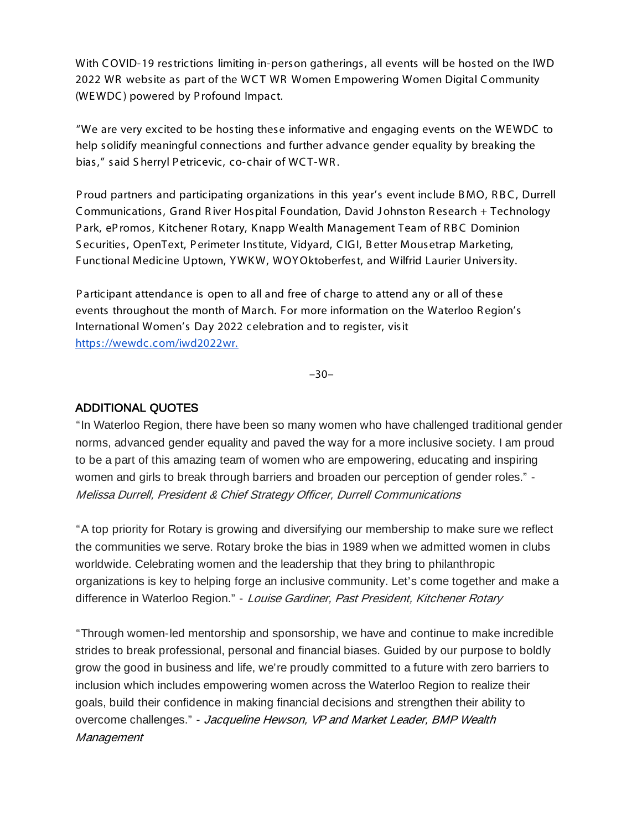With C OVID-19 restrictions limiting in-person gatherings, all events will be hosted on the IWD 2022 WR website as part of the WCT WR Women Empowering Women Digital Community (WE WDC ) powered by P rofound Impact.

"We are very excited to be hosting these informative and engaging events on the WE WDC to help solidify meaningful connections and further advance gender equality by breaking the bias," said Sherryl Petricevic, co-chair of WCT-WR.

Proud partners and participating organizations in this year's event include BMO, RBC, Durrell C ommunications, G rand R iver Hospital Foundation, David J ohnston R esearch + Technology Park, ePromos, Kitchener Rotary, Knapp Wealth Management Team of RBC Dominion S ecurities, OpenText, P erimeter Institute, Vidyard, C IG I, B etter Mousetrap Marketing, Functional Medicine Uptown, Y WK W, WOY Oktoberfest, and Wilfrid Laurier University.

P articipant attendance is open to all and free of charge to attend any or all of these events throughout the month of March. For more information on the Waterloo R egion's International Women's Day 2022 celebration and to register, visit https://wewdc.com/iwd2022wr.

–30–

#### ADDITIONAL QUOTES

"In Waterloo Region, there have been so many women who have challenged traditional gender norms, advanced gender equality and paved the way for a more inclusive society. I am proud to be a part of this amazing team of women who are empowering, educating and inspiring women and girls to break through barriers and broaden our perception of gender roles." - Melissa Durrell, President & Chief Strategy Officer, Durrell Communications

"A top priority for Rotary is growing and diversifying our membership to make sure we reflect the communities we serve. Rotary broke the bias in 1989 when we admitted women in clubs worldwide. Celebrating women and the leadership that they bring to philanthropic organizations is key to helping forge an inclusive community. Let's come together and make a difference in Waterloo Region." - Louise Gardiner, Past President, Kitchener Rotary

"Through women-led mentorship and sponsorship, we have and continue to make incredible strides to break professional, personal and financial biases. Guided by our purpose to boldly grow the good in business and life, we're proudly committed to a future with zero barriers to inclusion which includes empowering women across the Waterloo Region to realize their goals, build their confidence in making financial decisions and strengthen their ability to overcome challenges." - Jacqueline Hewson, VP and Market Leader, BMP Wealth **Management**